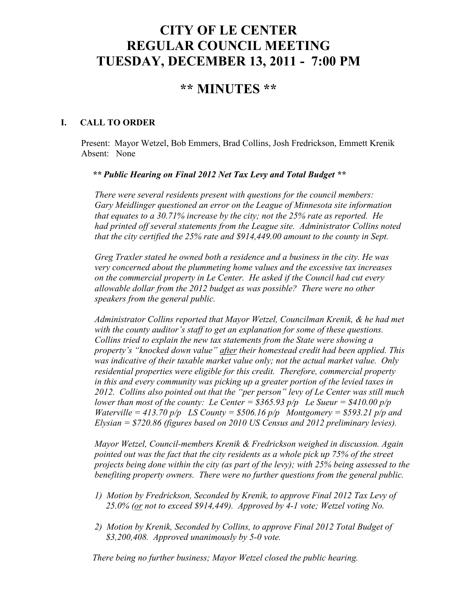# **CITY OF LE CENTER REGULAR COUNCIL MEETING TUESDAY, DECEMBER 13, 2011 - 7:00 PM**

## **\*\* MINUTES \*\***

### **I. CALL TO ORDER**

Present: Mayor Wetzel, Bob Emmers, Brad Collins, Josh Fredrickson, Emmett Krenik Absent: None

 *\*\* Public Hearing on Final 2012 Net Tax Levy and Total Budget \*\** 

 *There were several residents present with questions for the council members: Gary Meidlinger questioned an error on the League of Minnesota site information that equates to a 30.71% increase by the city; not the 25% rate as reported. He had printed off several statements from the League site. Administrator Collins noted that the city certified the 25% rate and \$914,449.00 amount to the county in Sept.* 

 *Greg Traxler stated he owned both a residence and a business in the city. He was very concerned about the plummeting home values and the excessive tax increases on the commercial property in Le Center. He asked if the Council had cut every allowable dollar from the 2012 budget as was possible? There were no other speakers from the general public.* 

 *Administrator Collins reported that Mayor Wetzel, Councilman Krenik, & he had met with the county auditor's staff to get an explanation for some of these questions. Collins tried to explain the new tax statements from the State were showing a property's "knocked down value" after their homestead credit had been applied. This was indicative of their taxable market value only; not the actual market value. Only residential properties were eligible for this credit. Therefore, commercial property in this and every community was picking up a greater portion of the levied taxes in 2012. Collins also pointed out that the "per person" levy of Le Center was still much lower than most of the county: Le Center =*  $$365.93 \text{ p/p}$  *Le Sueur =*  $$410.00 \text{ p/p}$ *Waterville = 413.70 p/p LS County = \$506.16 p/p Montgomery = \$593.21 p/p and Elysian = \$720.86 (figures based on 2010 US Census and 2012 preliminary levies).* 

 *Mayor Wetzel, Council-members Krenik & Fredrickson weighed in discussion. Again pointed out was the fact that the city residents as a whole pick up 75% of the street projects being done within the city (as part of the levy); with 25% being assessed to the benefiting property owners. There were no further questions from the general public.* 

- *1) Motion by Fredrickson, Seconded by Krenik, to approve Final 2012 Tax Levy of 25.0% (or not to exceed \$914,449). Approved by 4-1 vote; Wetzel voting No.*
- *2) Motion by Krenik, Seconded by Collins, to approve Final 2012 Total Budget of \$3,200,408. Approved unanimously by 5-0 vote.*

 *There being no further business; Mayor Wetzel closed the public hearing.*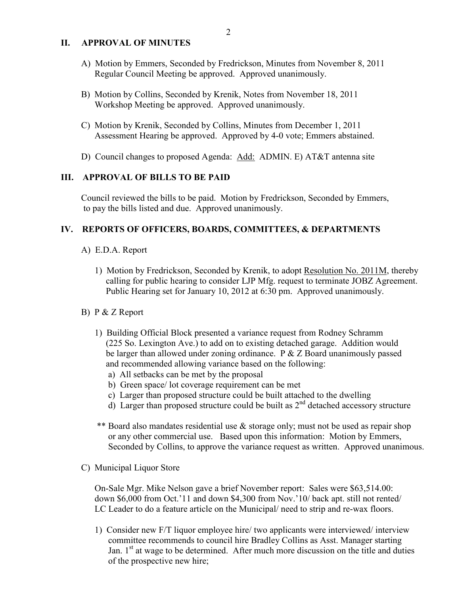#### **II. APPROVAL OF MINUTES**

- A) Motion by Emmers, Seconded by Fredrickson, Minutes from November 8, 2011 Regular Council Meeting be approved. Approved unanimously.
- B) Motion by Collins, Seconded by Krenik, Notes from November 18, 2011 Workshop Meeting be approved. Approved unanimously.
- C) Motion by Krenik, Seconded by Collins, Minutes from December 1, 2011 Assessment Hearing be approved. Approved by 4-0 vote; Emmers abstained.
- D) Council changes to proposed Agenda: Add: ADMIN. E) AT&T antenna site

#### **III. APPROVAL OF BILLS TO BE PAID**

Council reviewed the bills to be paid. Motion by Fredrickson, Seconded by Emmers, to pay the bills listed and due. Approved unanimously.

#### **IV. REPORTS OF OFFICERS, BOARDS, COMMITTEES, & DEPARTMENTS**

- A) E.D.A. Report
	- 1) Motion by Fredrickson, Seconded by Krenik, to adopt Resolution No. 2011M, thereby calling for public hearing to consider LJP Mfg. request to terminate JOBZ Agreement. Public Hearing set for January 10, 2012 at 6:30 pm. Approved unanimously.
- B) P & Z Report
	- 1) Building Official Block presented a variance request from Rodney Schramm (225 So. Lexington Ave.) to add on to existing detached garage. Addition would be larger than allowed under zoning ordinance. P & Z Board unanimously passed and recommended allowing variance based on the following:
		- a) All setbacks can be met by the proposal
		- b) Green space/ lot coverage requirement can be met
		- c) Larger than proposed structure could be built attached to the dwelling
		- d) Larger than proposed structure could be built as  $2<sup>nd</sup>$  detached accessory structure
	- \*\* Board also mandates residential use & storage only; must not be used as repair shop or any other commercial use. Based upon this information: Motion by Emmers, Seconded by Collins, to approve the variance request as written. Approved unanimous.
- C) Municipal Liquor Store

On-Sale Mgr. Mike Nelson gave a brief November report: Sales were \$63,514.00: down \$6,000 from Oct.'11 and down \$4,300 from Nov.'10/ back apt. still not rented/ LC Leader to do a feature article on the Municipal/ need to strip and re-wax floors.

 1) Consider new F/T liquor employee hire/ two applicants were interviewed/ interview committee recommends to council hire Bradley Collins as Asst. Manager starting Jan.  $1<sup>st</sup>$  at wage to be determined. After much more discussion on the title and duties of the prospective new hire;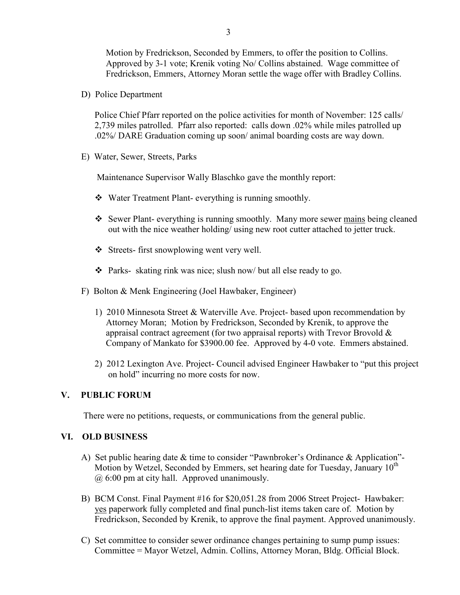Motion by Fredrickson, Seconded by Emmers, to offer the position to Collins. Approved by 3-1 vote; Krenik voting No/ Collins abstained. Wage committee of Fredrickson, Emmers, Attorney Moran settle the wage offer with Bradley Collins.

D) Police Department

Police Chief Pfarr reported on the police activities for month of November: 125 calls/ 2,739 miles patrolled. Pfarr also reported: calls down .02% while miles patrolled up .02%/ DARE Graduation coming up soon/ animal boarding costs are way down.

E) Water, Sewer, Streets, Parks

Maintenance Supervisor Wally Blaschko gave the monthly report:

- Water Treatment Plant- everything is running smoothly.
- \* Sewer Plant- everything is running smoothly. Many more sewer mains being cleaned out with the nice weather holding/ using new root cutter attached to jetter truck.
- Streets- first snowplowing went very well.
- $\cdot \cdot$  Parks- skating rink was nice; slush now/ but all else ready to go.
- F) Bolton & Menk Engineering (Joel Hawbaker, Engineer)
	- 1) 2010 Minnesota Street & Waterville Ave. Project- based upon recommendation by Attorney Moran; Motion by Fredrickson, Seconded by Krenik, to approve the appraisal contract agreement (for two appraisal reports) with Trevor Brovold  $\&$ Company of Mankato for \$3900.00 fee. Approved by 4-0 vote. Emmers abstained.
	- 2) 2012 Lexington Ave. Project- Council advised Engineer Hawbaker to "put this project on hold" incurring no more costs for now.

#### **V. PUBLIC FORUM**

There were no petitions, requests, or communications from the general public.

#### **VI. OLD BUSINESS**

- A) Set public hearing date & time to consider "Pawnbroker's Ordinance & Application"- Motion by Wetzel, Seconded by Emmers, set hearing date for Tuesday, January  $10^{th}$ @ 6:00 pm at city hall. Approved unanimously.
- B) BCM Const. Final Payment #16 for \$20,051.28 from 2006 Street Project- Hawbaker: yes paperwork fully completed and final punch-list items taken care of. Motion by Fredrickson, Seconded by Krenik, to approve the final payment. Approved unanimously.
- C) Set committee to consider sewer ordinance changes pertaining to sump pump issues: Committee = Mayor Wetzel, Admin. Collins, Attorney Moran, Bldg. Official Block.